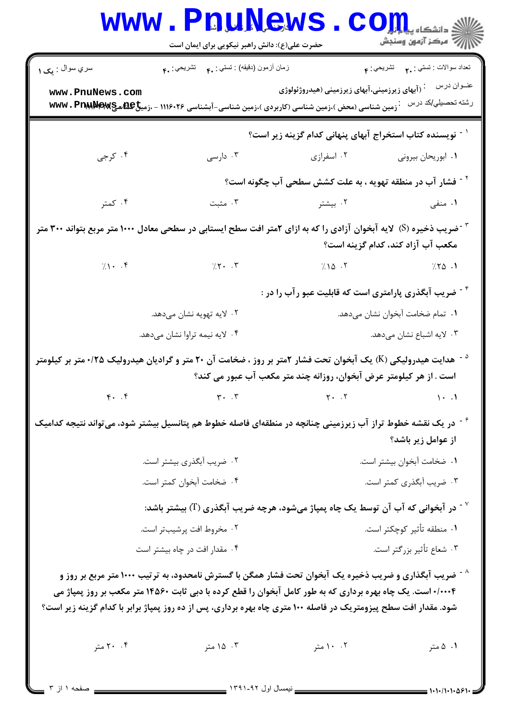|                                 | WWW.PRUNCWS<br>حضرت علی(ع): دانش راهبر نیکویی برای ایمان است                                                                                                                                                                                                                                                                                         |                                                                       | $\mathbf{C}\mathbf{O}$ چ دانشڪاه پيا<br>أأآله المركز آزمون وسنجش |
|---------------------------------|------------------------------------------------------------------------------------------------------------------------------------------------------------------------------------------------------------------------------------------------------------------------------------------------------------------------------------------------------|-----------------------------------------------------------------------|------------------------------------------------------------------|
| سري سوال : يک ۱                 | زمان أزمون (دقيقه) : تستى : ٩٠ - تشريحي : .۴                                                                                                                                                                                                                                                                                                         |                                                                       | تعداد سوالات : تستبي : . <b>. م</b> تشريحي : م                   |
| www.PnuNews.com                 | . زمین شناسی (محض )،زمین شناسی (کاربردی )،زمین شناسی-آبشناسی ۱۱۱۶۰۲۶ - ،زمیخ۱۹۵۵ MWw ، Praw We                                                                                                                                                                                                                                                       | ابهای زیرزمینی،آبهای زیرزمینی (هیدروژئولوژی) $\cdot$                  | عنــوان درس<br>رشته تحصيلي/كد درس                                |
|                                 |                                                                                                                                                                                                                                                                                                                                                      | <sup>۱ -</sup> نویسنده کتاب استخراج آبهای پنهانی کدام گزینه زیر است؟  |                                                                  |
| ۰۴ کرجی                         | ۰۳ دارسی                                                                                                                                                                                                                                                                                                                                             | ۰۱ ابوریحان بیرونی مسلم ۲۰ اسفرازی                                    |                                                                  |
|                                 |                                                                                                                                                                                                                                                                                                                                                      | <sup>۲ -</sup> فشار آب در منطقه تهویه ، به علت کشش سطحی آب چگونه است؟ |                                                                  |
| ۰۴ کمتر                         | ۰۳ مثبت                                                                                                                                                                                                                                                                                                                                              | ۰۲ بیشتر                                                              | ۰۱ منفی                                                          |
|                                 | <sup>۲</sup> <sup>-</sup> ضریب ذخیره (S) لایه آبخوان آزادی را که به ازای ۲متر افت سطح ایستابی در سطحی معادل ۱۰۰۰ متر مربع بتواند ۳۰۰ متر                                                                                                                                                                                                             |                                                                       | مكعب آب آزاد كند، كدام گزينه است؟                                |
|                                 | $7.1 - .5$ 7.10 $7.1 - .5$                                                                                                                                                                                                                                                                                                                           |                                                                       | $\sqrt{10}$ $\sqrt{10}$                                          |
|                                 |                                                                                                                                                                                                                                                                                                                                                      | <sup>۲ -</sup> ضریب آبگذری پارامتری است که قابلیت عبو رآب را در :     |                                                                  |
|                                 | ۰۲ لايه تهويه نشان مىدهد.                                                                                                                                                                                                                                                                                                                            |                                                                       | ٠١ تمام ضخامت أبخوان نشان مىدهد.                                 |
|                                 | ۰۴ لایه نیمه تراوا نشان میدهد.                                                                                                                                                                                                                                                                                                                       |                                                                       | ۰۳ لایه اشباع نشان میدهد.                                        |
|                                 | <sup>۵ -</sup> هدایت هیدرولیکی (K) یک آبخوان تحت فشار ۲متر بر روز ، ضخامت آن ۲۰ متر و گرادیان هیدرولیک ۱۲۵۰ متر بر کیلومتر                                                                                                                                                                                                                           | است . از هر کیلومتر عرض آبخوان، روزانه چند متر مکعب آب عبور می کند؟   |                                                                  |
| $\mathfrak{r}$ . $\mathfrak{r}$ | $\mathbf{r}$ . $\mathbf{r}$                                                                                                                                                                                                                                                                                                                          | $Y \cdot \cdot \cdot Y$                                               | $1 - 1$                                                          |
|                                 | <sup>۶</sup> <sup>-</sup> در یک نقشه خطوط تراز آب زیرزمینی چنانچه در منطقهای فاصله خطوط هم پتانسیل بیشتر شود، میتواند نتیجه کدامیک                                                                                                                                                                                                                   |                                                                       | از عوامل زیر باشد؟                                               |
|                                 | ۰۲ ضریب آبگذری بیشتر است.                                                                                                                                                                                                                                                                                                                            |                                                                       | ٠١ ضخامت آبخوان بيشتر است.                                       |
|                                 | ۰۴ ضخامت آبخوان کمتر است.                                                                                                                                                                                                                                                                                                                            |                                                                       | ۰۳ ضریب آبگذری کمتر است.                                         |
|                                 | در آبخوانی که آب آن توسط یک چاه پمپاژ میشود، هرچه ضریب آبگذری (T) بیشتر باشد: $^{\vee}$                                                                                                                                                                                                                                                              |                                                                       |                                                                  |
|                                 | ۰۲ مخروط افت پرشیبتر است.                                                                                                                                                                                                                                                                                                                            |                                                                       | ۰۱ منطقه تأثير كوچكتر است.                                       |
|                                 | ۰۴ مقدار افت در چاه بیشتر است                                                                                                                                                                                                                                                                                                                        |                                                                       | ۰۳ شعاع تأثير بزرگتر است.                                        |
|                                 | <sup>^ -</sup> ضریب آبگذاری و ضریب ذخیره یک آبخوان تحت فشار همگن با گسترش نامحدود، به ترتیب ۱۰۰۰ متر مربع بر روز و<br>۰/۰۰۰۴ است. یک چاه بهره برداری که به طور کامل آبخوان را قطع کرده با دبی ثابت ۱۴۵۶۰ متر مکعب بر روز پمپاژ می<br>شود. مقدار افت سطح پیزومتریک در فاصله ۱۰۰ متری چاه بهره برداری، پس از ده روز پمپاژ برابر با کدام گزینه زیر است؟ |                                                                       |                                                                  |
| ۲۰ ۲۰ متر                       | ۰۳ ۱۵ متر                                                                                                                                                                                                                                                                                                                                            | ۰. ۱۰ متر                                                             | ۰۱ ۵ متر                                                         |

۱ از ۳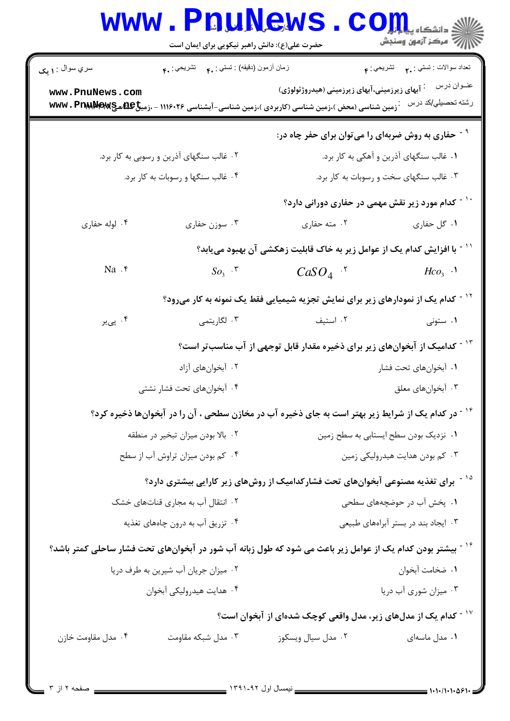| نعداد سوالات : نستي : ٢. نشريحي : ۴                                                    |                                                           | زمان أزمون (دقيقه) : نستبي : ٩. نشريحي : ۴.                                                                   | سري سوال : ۱ يک                                                                                                              |
|----------------------------------------------------------------------------------------|-----------------------------------------------------------|---------------------------------------------------------------------------------------------------------------|------------------------------------------------------------------------------------------------------------------------------|
| عنــوان درس<br>رشته تحصيلي/كد درس                                                      | <sup>:</sup> آبهای زیرزمینی،آبهای زیرزمینی (هیدروژئولوژی) |                                                                                                               | www.PnuNews.com<br><b>7 زمین شناسی (محض )،زمین شناسی (کاربردی )،زمین شناسی-آبشناسی ۱۱۱۶۰۲۶ - ،زمیخ۲۳ BB هچ۳۷W . PrawMerw</b> |
| <sup>۹ -</sup> حفاری به روش ضربهای را میتوان برای حفر چاه در:                          |                                                           |                                                                                                               |                                                                                                                              |
| ۰۱ غالب سنگهای آذرین و آهکی به کار برد.                                                |                                                           | ۰۲ غالب سنگهای آذرین و رسوبی به کار برد.                                                                      |                                                                                                                              |
| ۰۳ غالب سنگهای سخت و رسوبات به کار برد.                                                |                                                           | ۰۴ غالب سنگها و رسوبات به کار برد.                                                                            |                                                                                                                              |
| <sup>۱۰ -</sup> کدام مورد زیر نقش مهمی در حفاری دورانی دارد؟                           |                                                           |                                                                                                               |                                                                                                                              |
| ۰۱ گل حفاری                                                                            | ۰۲ مته حفاري                                              | ۰۳ سوزن حفاري                                                                                                 | ۰۴ لوله حفاري                                                                                                                |
| ّ ` ` - با افزایش کدام یک از عوامل زیر به خاک قابلیت زهکشی آن بهبود مییابد؟            |                                                           |                                                                                                               |                                                                                                                              |
| $H\!co3$ .                                                                             | $CaSO4$ .                                                 | $SO_3$ $\cdot$ $\cdot$                                                                                        | Na.                                                                                                                          |
|                                                                                        |                                                           | <sup>۱۲ -</sup> کدام یک از نمودارهای زیر برای نمایش تجزیه شیمیایی فقط یک نمونه به کار میرود؟                  |                                                                                                                              |
| ۰۱ ستونی                                                                               | ۰۲ استيف                                                  | ۰۳ لگاريتمي                                                                                                   | ۰۴ پیږ                                                                                                                       |
| <sup>۱۳ -</sup> کدامیک از آبخوانهای زیر برای ذخیره مقدار قابل توجهی از آب مناسبتر است؟ |                                                           |                                                                                                               |                                                                                                                              |
| ۰۱ آبخوانهای تحت فشار                                                                  |                                                           | ۰۲ آبخوانهای آزاد                                                                                             |                                                                                                                              |
| ۰۳ آبخوان های معلق                                                                     |                                                           | ۰۴ آبخوانهای تحت فشار نشتی                                                                                    |                                                                                                                              |
|                                                                                        |                                                           | <sup>۱۴ -</sup> در کدام یک از شرایط زیر بهتر است به جای ذخیره آب در مخازن سطحی ، آن را در آبخوانها ذخیره کرد؟ |                                                                                                                              |
| ٠١ نزديک بودن سطح ايستابي به سطح زمين                                                  |                                                           | ۰۲ بالا بودن میزان تبخیر در منطقه                                                                             |                                                                                                                              |
| ۰۳ کم بودن هدایت هیدرولیکی زمین                                                        |                                                           | ۰۴ کم بودن میزان تراوش آب از سطح                                                                              |                                                                                                                              |
|                                                                                        |                                                           | <sup>۱۵ -</sup> برای تغذیه مصنوعی آبخوانهای تحت فشارکدامیک از روشهای زیر کارایی بیشتری دارد؟                  |                                                                                                                              |
| ۰۱ پخش آب در حوضچههای سطحی                                                             |                                                           | ۰۲ انتقال آب به مجاری قناتهای خشک                                                                             |                                                                                                                              |
| ۰۳ ایجاد بند در بستر آبراههای طبیعی                                                    |                                                           | ۰۴ تزریق آب به درون چاههای تغذیه                                                                              |                                                                                                                              |
|                                                                                        |                                                           |                                                                                                               | گرتیشتر بودن کدام یک از عوامل زیر باعث می شود که طول زبانه آب شور در آبخوانهای تحت فشار ساحلی کمتر باشد؟ $\mathcal{S}$       |
| ٠١ ضخامت أبخوان                                                                        |                                                           | ۰۲ میزان جریان آب شیرین به طرف دریا                                                                           |                                                                                                                              |
| ۰۳ میزان شوری آب دریا                                                                  |                                                           | ۰۴ هدايت هيدروليكي آبخوان                                                                                     |                                                                                                                              |
| ۱ <sup>۷ -</sup> کدام یک از مدلهای زیر، مدل واقعی کوچک شدهای از آبخوان است؟            |                                                           |                                                                                                               |                                                                                                                              |
| ۰۱ مدل ماسهای                                                                          | ۰۲ مدل سیال ویسکوز                                        | ۰۳ مدل شبکه مقاومت                                                                                            | ۰۴ مدل مقاومت خازن                                                                                                           |